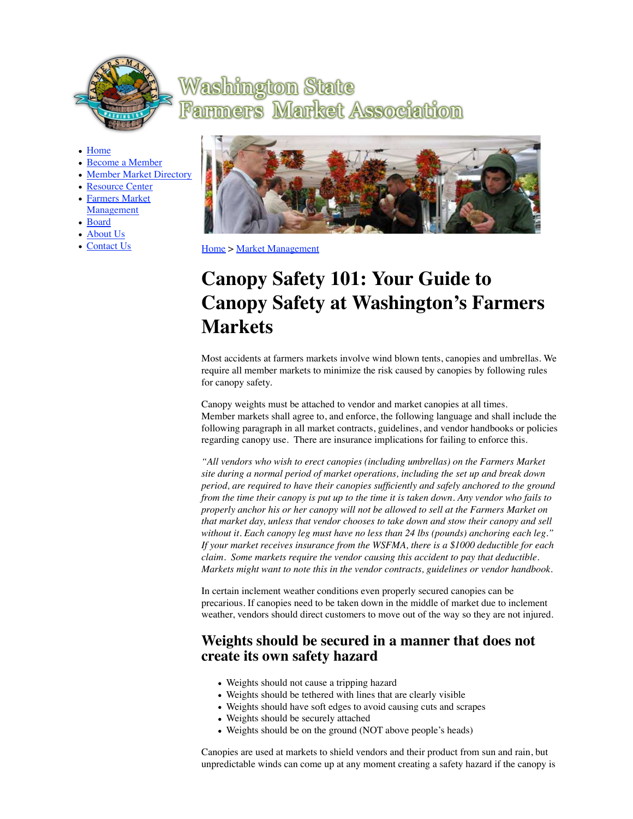

# **Washington State Market Association Fammers**

- Home
- Become a Member
- Member Market Directory
- Resource Center
- Farmers Market Management
- Board
- About Us
- Contact Us



Home > Market Management

# **Canopy Safety 101: Your Guide to Canopy Safety at Washington's Farmers Markets**

Most accidents at farmers markets involve wind blown tents, canopies and umbrellas. We require all member markets to minimize the risk caused by canopies by following rules for canopy safety.

Canopy weights must be attached to vendor and market canopies at all times. Member markets shall agree to, and enforce, the following language and shall include the following paragraph in all market contracts, guidelines, and vendor handbooks or policies regarding canopy use. There are insurance implications for failing to enforce this.

*"All vendors who wish to erect canopies (including umbrellas) on the Farmers Market site during a normal period of market operations, including the set up and break down period, are required to have their canopies sufficiently and safely anchored to the ground from the time their canopy is put up to the time it is taken down. Any vendor who fails to properly anchor his or her canopy will not be allowed to sell at the Farmers Market on that market day, unless that vendor chooses to take down and stow their canopy and sell without it. Each canopy leg must have no less than 24 lbs (pounds) anchoring each leg." If your market receives insurance from the WSFMA, there is a \$1000 deductible for each claim. Some markets require the vendor causing this accident to pay that deductible. Markets might want to note this in the vendor contracts, guidelines or vendor handbook.*

In certain inclement weather conditions even properly secured canopies can be precarious. If canopies need to be taken down in the middle of market due to inclement weather, vendors should direct customers to move out of the way so they are not injured.

#### **Weights should be secured in a manner that does not create its own safety hazard**

- Weights should not cause a tripping hazard
- Weights should be tethered with lines that are clearly visible
- Weights should have soft edges to avoid causing cuts and scrapes
- Weights should be securely attached
- Weights should be on the ground (NOT above people's heads)

Canopies are used at markets to shield vendors and their product from sun and rain, but unpredictable winds can come up at any moment creating a safety hazard if the canopy is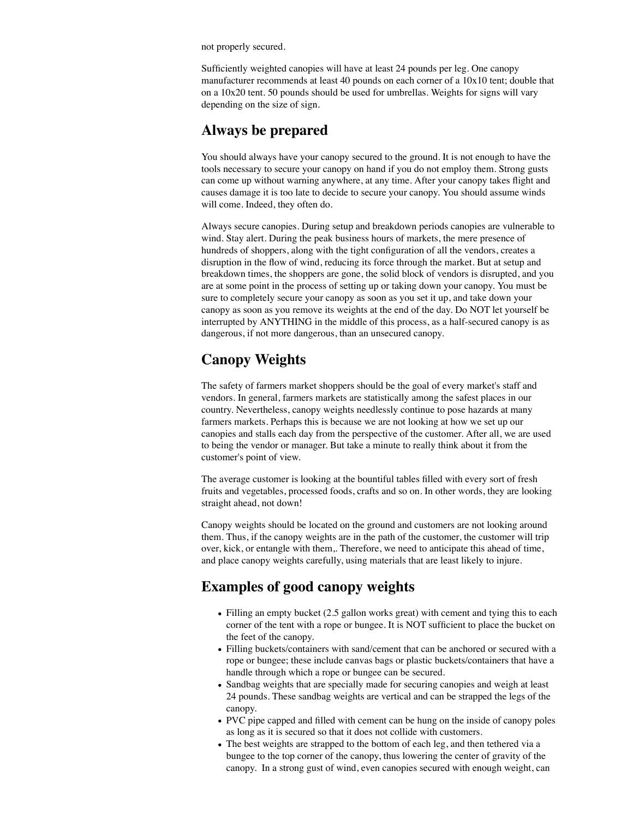not properly secured.

Sufficiently weighted canopies will have at least 24 pounds per leg. One canopy manufacturer recommends at least 40 pounds on each corner of a 10x10 tent; double that on a 10x20 tent. 50 pounds should be used for umbrellas. Weights for signs will vary depending on the size of sign.

# **Always be prepared**

You should always have your canopy secured to the ground. It is not enough to have the tools necessary to secure your canopy on hand if you do not employ them. Strong gusts can come up without warning anywhere, at any time. After your canopy takes flight and causes damage it is too late to decide to secure your canopy. You should assume winds will come. Indeed, they often do.

Always secure canopies. During setup and breakdown periods canopies are vulnerable to wind. Stay alert. During the peak business hours of markets, the mere presence of hundreds of shoppers, along with the tight configuration of all the vendors, creates a disruption in the flow of wind, reducing its force through the market. But at setup and breakdown times, the shoppers are gone, the solid block of vendors is disrupted, and you are at some point in the process of setting up or taking down your canopy. You must be sure to completely secure your canopy as soon as you set it up, and take down your canopy as soon as you remove its weights at the end of the day. Do NOT let yourself be interrupted by ANYTHING in the middle of this process, as a half-secured canopy is as dangerous, if not more dangerous, than an unsecured canopy.

# **Canopy Weights**

The safety of farmers market shoppers should be the goal of every market's staff and vendors. In general, farmers markets are statistically among the safest places in our country. Nevertheless, canopy weights needlessly continue to pose hazards at many farmers markets. Perhaps this is because we are not looking at how we set up our canopies and stalls each day from the perspective of the customer. After all, we are used to being the vendor or manager. But take a minute to really think about it from the customer's point of view.

The average customer is looking at the bountiful tables filled with every sort of fresh fruits and vegetables, processed foods, crafts and so on. In other words, they are looking straight ahead, not down!

Canopy weights should be located on the ground and customers are not looking around them. Thus, if the canopy weights are in the path of the customer, the customer will trip over, kick, or entangle with them,. Therefore, we need to anticipate this ahead of time, and place canopy weights carefully, using materials that are least likely to injure.

### **Examples of good canopy weights**

- Filling an empty bucket (2.5 gallon works great) with cement and tying this to each corner of the tent with a rope or bungee. It is NOT sufficient to place the bucket on the feet of the canopy.
- Filling buckets/containers with sand/cement that can be anchored or secured with a rope or bungee; these include canvas bags or plastic buckets/containers that have a handle through which a rope or bungee can be secured.
- Sandbag weights that are specially made for securing canopies and weigh at least 24 pounds. These sandbag weights are vertical and can be strapped the legs of the canopy.
- PVC pipe capped and filled with cement can be hung on the inside of canopy poles as long as it is secured so that it does not collide with customers.
- The best weights are strapped to the bottom of each leg, and then tethered via a bungee to the top corner of the canopy, thus lowering the center of gravity of the canopy. In a strong gust of wind, even canopies secured with enough weight, can